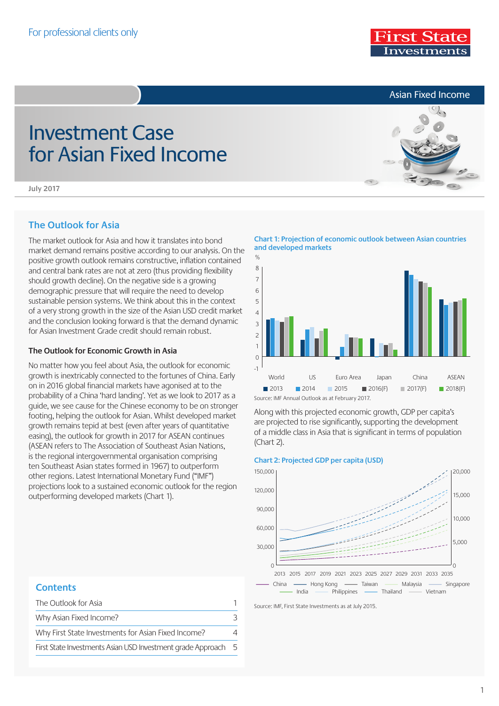Asian Fixed Income

# Investment Case for Asian Fixed Income



**July 2017**

# **The Outlook for Asia**

The market outlook for Asia and how it translates into bond market demand remains positive according to our analysis. On the positive growth outlook remains constructive, inflation contained and central bank rates are not at zero (thus providing flexibility should growth decline). On the negative side is a growing demographic pressure that will require the need to develop sustainable pension systems. We think about this in the context of a very strong growth in the size of the Asian USD credit market and the conclusion looking forward is that the demand dynamic for Asian Investment Grade credit should remain robust.

## **The Outlook for Economic Growth in Asia**

No matter how you feel about Asia, the outlook for economic growth is inextricably connected to the fortunes of China. Early on in 2016 global financial markets have agonised at to the probability of a China 'hard landing'. Yet as we look to 2017 as a guide, we see cause for the Chinese economy to be on stronger footing, helping the outlook for Asian. Whilst developed market growth remains tepid at best (even after years of quantitative easing), the outlook for growth in 2017 for ASEAN continues (ASEAN refers to The Association of Southeast Asian Nations, is the regional intergovernmental organisation comprising ten Southeast Asian states formed in 1967) to outperform other regions. Latest International Monetary Fund ("IMF") projections look to a sustained economic outlook for the region outperforming developed markets (Chart 1).

World US Euro Area Japan China ASEAN  $O_0$ 2013 2014 2015 2016(F) 2017(F) 2018(F) -1 0 1  $\overline{2}$ 3 4 5 6 7 8

Source: IMF Annual Outlook as at February 2017.

Along with this projected economic growth, GDP per capita's are projected to rise significantly, supporting the development of a middle class in Asia that is significant in terms of population (Chart 2).

## **Chart 2: Projected GDP per capita (USD)**



Source: IMF, First State Investments as at July 2015.

## **Contents**

| The Outlook for Asia                                          |          |
|---------------------------------------------------------------|----------|
| Why Asian Fixed Income?                                       |          |
| Why First State Investments for Asian Fixed Income?           | $\Delta$ |
| First State Investments Asian USD Investment grade Approach 5 |          |

**Chart 1: Projection of economic outlook between Asian countries and developed markets**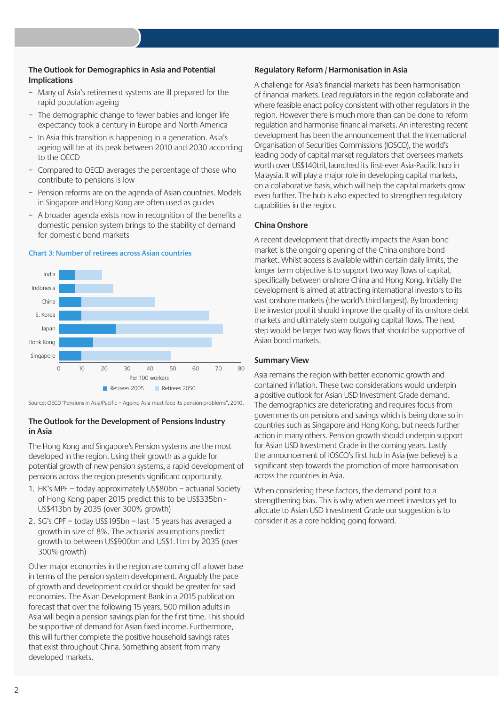## **The Outlook for Demographics in Asia and Potential Implications**

- Many of Asia's retirement systems are ill prepared for the rapid population ageing
- The demographic change to fewer babies and longer life expectancy took a century in Europe and North America
- In Asia this transition is happening in a generation. Asia's ageing will be at its peak between 2010 and 2030 according to the OECD
- Compared to OECD averages the percentage of those who contribute to pensions is low
- Pension reforms are on the agenda of Asian countries. Models in Singapore and Hong Kong are often used as guides
- A broader agenda exists now in recognition of the benefits a domestic pension system brings to the stability of demand for domestic bond markets

### **Chart 3: Number of retirees across Asian countries**



Source: OECD 'Pensions in Asia/Pacific – Ageing Asia must face its pension problems", 2010.

## **The Outlook for the Development of Pensions Industry in Asia**

The Hong Kong and Singapore's Pension systems are the most developed in the region. Using their growth as a guide for potential growth of new pension systems, a rapid development of pensions across the region presents significant opportunity.

- 1. HK's MPF today approximately US\$80bn actuarial Society of Hong Kong paper 2015 predict this to be US\$335bn - US\$413bn by 2035 (over 300% growth)
- 2. SG's CPF today US\$195bn last 15 years has averaged a growth in size of 8%. The actuarial assumptions predict growth to between US\$900bn and US\$1.1trn by 2035 (over 300% growth)

Other major economies in the region are coming off a lower base in terms of the pension system development. Arguably the pace of growth and development could or should be greater for said economies. The Asian Development Bank in a 2015 publication forecast that over the following 15 years, 500 million adults in Asia will begin a pension savings plan for the first time. This should be supportive of demand for Asian fixed income. Furthermore, this will further complete the positive household savings rates that exist throughout China. Something absent from many developed markets.

#### **Regulatory Reform / Harmonisation in Asia**

A challenge for Asia's financial markets has been harmonisation of financial markets. Lead regulators in the region collaborate and where feasible enact policy consistent with other regulators in the region. However there is much more than can be done to reform regulation and harmonise financial markets. An interesting recent development has been the announcement that the International Organisation of Securities Commissions (IOSCO), the world's leading body of capital market regulators that oversees markets worth over US\$140tril, launched its first-ever Asia-Pacific hub in Malaysia. It will play a major role in developing capital markets, on a collaborative basis, which will help the capital markets grow even further. The hub is also expected to strengthen regulatory capabilities in the region.

## **China Onshore**

A recent development that directly impacts the Asian bond market is the ongoing opening of the China onshore bond market. Whilst access is available within certain daily limits, the longer term objective is to support two way flows of capital, specifically between onshore China and Hong Kong. Initially the development is aimed at attracting international investors to its vast onshore markets (the world's third largest). By broadening the investor pool it should improve the quality of its onshore debt markets and ultimately stem outgoing capital flows. The next step would be larger two way flows that should be supportive of Asian bond markets.

### **Summary View**

Asia remains the region with better economic growth and contained inflation. These two considerations would underpin a positive outlook for Asian USD Investment Grade demand. The demographics are deteriorating and requires focus from governments on pensions and savings which is being done so in countries such as Singapore and Hong Kong, but needs further action in many others. Pension growth should underpin support for Asian USD Investment Grade in the coming years. Lastly the announcement of IOSCO's first hub in Asia (we believe) is a significant step towards the promotion of more harmonisation across the countries in Asia.

When considering these factors, the demand point to a strengthening bias. This is why when we meet investors yet to allocate to Asian USD Investment Grade our suggestion is to consider it as a core holding going forward.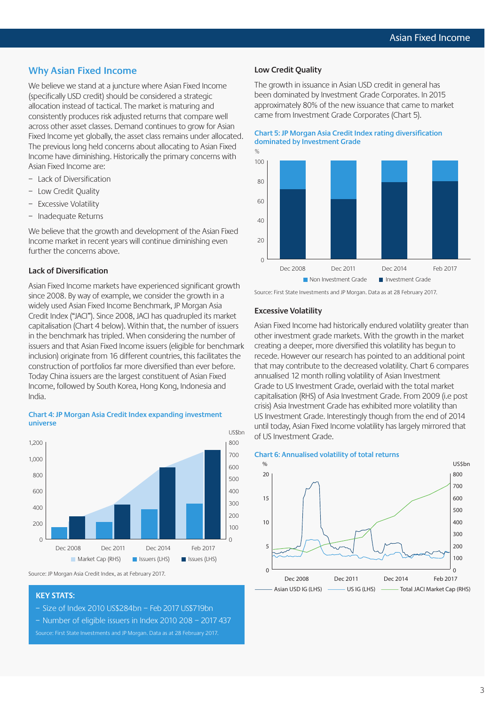# **Why Asian Fixed Income**

We believe we stand at a juncture where Asian Fixed Income (specifically USD credit) should be considered a strategic allocation instead of tactical. The market is maturing and consistently produces risk adjusted returns that compare well across other asset classes. Demand continues to grow for Asian Fixed Income yet globally, the asset class remains under allocated. The previous long held concerns about allocating to Asian Fixed Income have diminishing. Historically the primary concerns with Asian Fixed Income are:

- Lack of Diversification
- Low Credit Quality
- Excessive Volatility
- Inadequate Returns

We believe that the growth and development of the Asian Fixed Income market in recent years will continue diminishing even further the concerns above.

#### **Lack of Diversification**

Asian Fixed Income markets have experienced significant growth since 2008. By way of example, we consider the growth in a widely used Asian Fixed Income Benchmark, JP Morgan Asia Credit Index ("JACI"). Since 2008, JACI has quadrupled its market capitalisation (Chart 4 below). Within that, the number of issuers in the benchmark has tripled. When considering the number of issuers and that Asian Fixed Income issuers (eligible for benchmark inclusion) originate from 16 different countries, this facilitates the construction of portfolios far more diversified than ever before. Today China issuers are the largest constituent of Asian Fixed Income, followed by South Korea, Hong Kong, Indonesia and India.



#### **Chart 4: JP Morgan Asia Credit Index expanding investment universe**

#### **KEY STATS:**

- Size of Index 2010 US\$284bn Feb 2017 US\$719bn
- Number of eligible issuers in Index 2010 208 2017 437 Source: First State Investments and JP Morgan. Data as at 28 February 2017.

#### **Low Credit Quality**

The growth in issuance in Asian USD credit in general has been dominated by Investment Grade Corporates. In 2015 approximately 80% of the new issuance that came to market came from Investment Grade Corporates (Chart 5).

#### **Chart 5: JP Morgan Asia Credit Index rating diversification dominated by Investment Grade**



Source: First State Investments and JP Morgan. Data as at 28 February 2017.

#### **Excessive Volatility**

Asian Fixed Income had historically endured volatility greater than other investment grade markets. With the growth in the market creating a deeper, more diversified this volatility has begun to recede. However our research has pointed to an additional point that may contribute to the decreased volatility. Chart 6 compares annualised 12 month rolling volatility of Asian Investment Grade to US Investment Grade, overlaid with the total market capitalisation (RHS) of Asia Investment Grade. From 2009 (i.e post crisis) Asia Investment Grade has exhibited more volatility than US Investment Grade. Interestingly though from the end of 2014 until today, Asian Fixed Income volatility has largely mirrored that of US Investment Grade.





Source: JP Morgan Asia Credit Index, as at February 2017.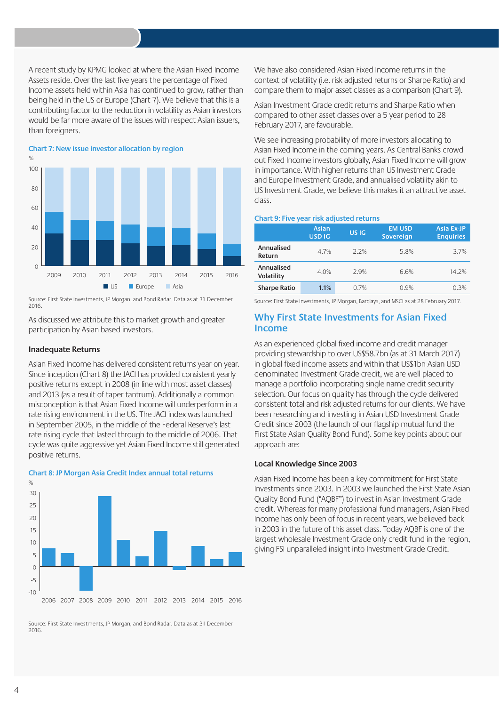A recent study by KPMG looked at where the Asian Fixed Income Assets reside. Over the last five years the percentage of Fixed Income assets held within Asia has continued to grow, rather than being held in the US or Europe (Chart 7). We believe that this is a contributing factor to the reduction in volatility as Asian investors would be far more aware of the issues with respect Asian issuers, than foreigners.

**Chart 7: New issue investor allocation by region** 2009 2010 2011 2012 2013 2014 2015 2016  $\mathcal{O}_\ell$ **US** Europe **Asia**  $\sqrt{2}$  $2<sup>c</sup>$  $4<sub>0</sub>$ 60 8<sub>C</sub> 100

Source: First State Investments, JP Morgan, and Bond Radar. Data as at 31 December 2016.

As discussed we attribute this to market growth and greater participation by Asian based investors.

#### **Inadequate Returns**

Asian Fixed Income has delivered consistent returns year on year. Since inception (Chart 8) the JACI has provided consistent yearly positive returns except in 2008 (in line with most asset classes) and 2013 (as a result of taper tantrum). Additionally a common misconception is that Asian Fixed Income will underperform in a rate rising environment in the US. The JACI index was launched in September 2005, in the middle of the Federal Reserve's last rate rising cycle that lasted through to the middle of 2006. That cycle was quite aggressive yet Asian Fixed Income still generated positive returns.

 $\frac{1}{\sqrt{2}}$ -5  $\Omega$ 5 10 15  $20$ 25 30



Source: First State Investments, JP Morgan, and Bond Radar. Data as at 31 December 2016.

2006 2007 2008 2009 2010 2011 2012 2013 2014 2015 2016

We have also considered Asian Fixed Income returns in the context of volatility (i.e. risk adjusted returns or Sharpe Ratio) and compare them to major asset classes as a comparison (Chart 9).

Asian Investment Grade credit returns and Sharpe Ratio when compared to other asset classes over a 5 year period to 28 February 2017, are favourable.

We see increasing probability of more investors allocating to Asian Fixed Income in the coming years. As Central Banks crowd out Fixed Income investors globally, Asian Fixed Income will grow in importance. With higher returns than US Investment Grade and Europe Investment Grade, and annualised volatility akin to US Investment Grade, we believe this makes it an attractive asset class.

#### **Chart 9: Five year risk adjusted returns**

|                          | Asian<br><b>USD IG</b> | <b>USIG</b> | <b>EM USD</b><br>Sovereign | Asia Ex-JP<br><b>Enquiries</b> |
|--------------------------|------------------------|-------------|----------------------------|--------------------------------|
| Annualised<br>Return     | 4.7%                   | 22%         | 5.8%                       | 3.7%                           |
| Annualised<br>Volatility | 4.0%                   | 29%         | 6.6%                       | 14.2%                          |
| <b>Sharpe Ratio</b>      | 1.1%                   | 0.7%        | 0.9%                       | 0.3%                           |

Source: First State Investments, JP Morgan, Barclays, and MSCI as at 28 February 2017.

# **Why First State Investments for Asian Fixed Income**

As an experienced global fixed income and credit manager providing stewardship to over US\$58.7bn (as at 31 March 2017) in global fixed income assets and within that US\$1bn Asian USD denominated Investment Grade credit, we are well placed to manage a portfolio incorporating single name credit security selection. Our focus on quality has through the cycle delivered consistent total and risk adjusted returns for our clients. We have been researching and investing in Asian USD Investment Grade Credit since 2003 (the launch of our flagship mutual fund the First State Asian Quality Bond Fund). Some key points about our approach are:

#### **Local Knowledge Since 2003**

Asian Fixed Income has been a key commitment for First State Investments since 2003. In 2003 we launched the First State Asian Quality Bond Fund ("AQBF") to invest in Asian Investment Grade credit. Whereas for many professional fund managers, Asian Fixed Income has only been of focus in recent years, we believed back in 2003 in the future of this asset class. Today AQBF is one of the largest wholesale Investment Grade only credit fund in the region, giving FSI unparalleled insight into Investment Grade Credit.

-10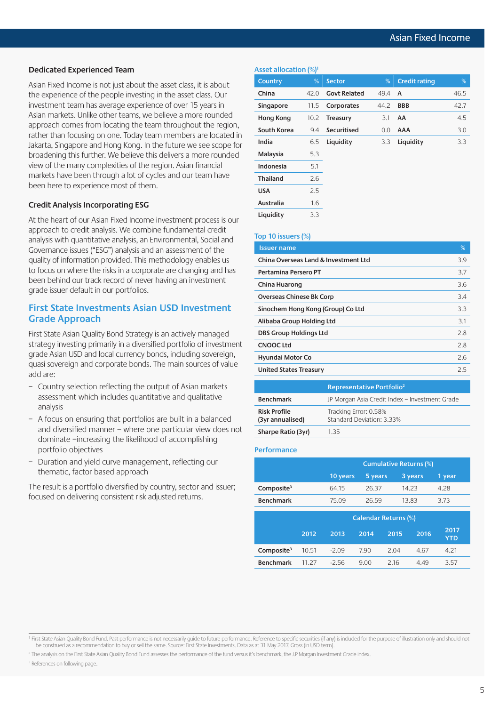#### **Dedicated Experienced Team**

Asian Fixed Income is not just about the asset class, it is about the experience of the people investing in the asset class. Our investment team has average experience of over 15 years in Asian markets. Unlike other teams, we believe a more rounded approach comes from locating the team throughout the region, rather than focusing on one. Today team members are located in Jakarta, Singapore and Hong Kong. In the future we see scope for broadening this further. We believe this delivers a more rounded view of the many complexities of the region. Asian financial markets have been through a lot of cycles and our team have been here to experience most of them.

### **Credit Analysis Incorporating ESG**

At the heart of our Asian Fixed Income investment process is our approach to credit analysis. We combine fundamental credit analysis with quantitative analysis, an Environmental, Social and Governance issues ("ESG") analysis and an assessment of the quality of information provided. This methodology enables us to focus on where the risks in a corporate are changing and has been behind our track record of never having an investment grade issuer default in our portfolios.

## **First State Investments Asian USD Investment Grade Approach**

First State Asian Quality Bond Strategy is an actively managed strategy investing primarily in a diversified portfolio of investment grade Asian USD and local currency bonds, including sovereign, quasi sovereign and corporate bonds. The main sources of value add are:

- Country selection reflecting the output of Asian markets assessment which includes quantitative and qualitative analysis
- A focus on ensuring that portfolios are built in a balanced and diversified manner – where one particular view does not dominate –increasing the likelihood of accomplishing portfolio objectives
- Duration and yield curve management, reflecting our thematic, factor based approach

The result is a portfolio diversified by country, sector and issuer; focused on delivering consistent risk adjusted returns.

## **Asset allocation (%)1**

| <b>Country</b>   | %    | <b>Sector</b>       | %    | <b>Credit rating</b> | %    |
|------------------|------|---------------------|------|----------------------|------|
| China            | 42.0 | <b>Govt Related</b> | 49.4 | $\mathsf{A}$         | 46.5 |
| Singapore        | 11.5 | Corporates          | 44.2 | <b>BBB</b>           | 42.7 |
| <b>Hong Kong</b> | 10.2 | <b>Treasury</b>     | 3.1  | AA                   | 4.5  |
| South Korea      | 9.4  | Securitised         | 0.0  | <b>AAA</b>           | 3.0  |
| India            | 6.5  | Liquidity           | 3.3  | Liquidity            | 3.3  |
| Malaysia         | 5.3  |                     |      |                      |      |
| Indonesia        | 5.1  |                     |      |                      |      |
| <b>Thailand</b>  | 2.6  |                     |      |                      |      |
| <b>USA</b>       | 2.5  |                     |      |                      |      |
| Australia        | 1.6  |                     |      |                      |      |
| Liquidity        | 3.3  |                     |      |                      |      |
|                  |      |                     |      |                      |      |

| Top 10 issuers $(\%)$                |     |
|--------------------------------------|-----|
| <b>Issuer name</b>                   | %   |
| China Overseas Land & Investment Ltd | 3.9 |
| Pertamina Persero PT                 | 3.7 |
| China Huarong                        | 3.6 |
| <b>Overseas Chinese Bk Corp</b>      | 3.4 |
| Sinochem Hong Kong (Group) Co Ltd    | 3.3 |
| Alibaba Group Holding Ltd            | 3.1 |
| <b>DBS Group Holdings Ltd</b>        | 2.8 |
| <b>CNOOC Ltd</b>                     | 2.8 |
| <b>Hyundai Motor Co</b>              | 2.6 |
| <b>United States Treasury</b>        | 2.5 |
|                                      |     |

|                                         | Representative Portfolio <sup>2</sup>              |
|-----------------------------------------|----------------------------------------------------|
| <b>Benchmark</b>                        | JP Morgan Asia Credit Index - Investment Grade     |
| <b>Risk Profile</b><br>(3yr annualised) | Tracking Error: 0.58%<br>Standard Deviation: 3.33% |
| Sharpe Ratio (3yr)                      | 1 35                                               |

#### **Performance**

|                  | <b>Cumulative Returns (%)</b> |         |         |        |
|------------------|-------------------------------|---------|---------|--------|
|                  | 10 years                      | 5 years | 3 years | 1 year |
| Composite $3$    | 64.15                         | 26.37   | 14.23   | 4.28   |
| <b>Benchmark</b> | 75.09                         | 26.59   | 13.83   | 3.73   |
|                  |                               |         |         |        |
|                  | $C - L - L - L - R - L$       |         |         |        |

| 2017<br>2014<br>2015<br>2016<br>2013<br>2012<br><b>YTD</b>                   |  |
|------------------------------------------------------------------------------|--|
| <b>Composite</b> <sup>3</sup> $10.51$ -2.09<br>7.90<br>2.04<br>4 2 1<br>4.67 |  |
| <b>Benchmark</b><br>11.27<br>$-2.56$<br>9.00<br>216<br>357<br>449            |  |

<sup>3</sup> References on following page.

<sup>&</sup>lt;sup>1</sup> First State Asian Quality Bond Fund. Past performance is not necessarily guide to future performance. Reference to specific securities (if any) is included for the purpose of illustration only and should not be construed as a recommendation to buy or sell the same. Source: First State Investments. Data as at 31 May 2017. Gross (in USD term).

<sup>&</sup>lt;sup>2</sup> The analysis on the First State Asian Quality Bond Fund assesses the performance of the fund versus it's benchmark, the J.P Morgan Investment Grade index.